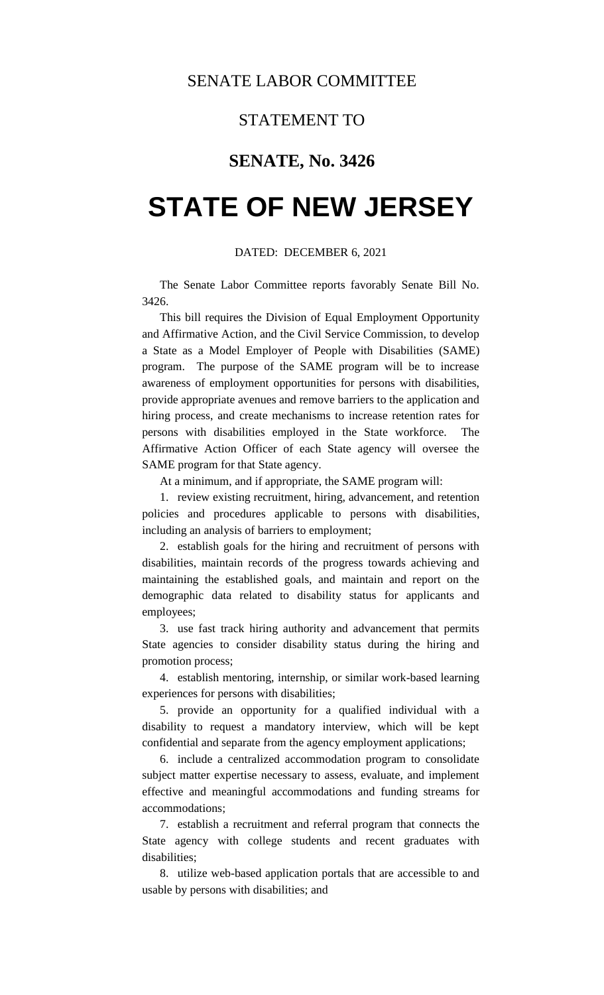## STATEMENT TO

## **SENATE, No. 3426**

## **STATE OF NEW JERSEY**

## DATED: DECEMBER 6, 2021

The Senate Labor Committee reports favorably Senate Bill No. 3426.

This bill requires the Division of Equal Employment Opportunity and Affirmative Action, and the Civil Service Commission, to develop a State as a Model Employer of People with Disabilities (SAME) program. The purpose of the SAME program will be to increase awareness of employment opportunities for persons with disabilities, provide appropriate avenues and remove barriers to the application and hiring process, and create mechanisms to increase retention rates for persons with disabilities employed in the State workforce. The Affirmative Action Officer of each State agency will oversee the SAME program for that State agency.

At a minimum, and if appropriate, the SAME program will:

1. review existing recruitment, hiring, advancement, and retention policies and procedures applicable to persons with disabilities, including an analysis of barriers to employment;

2. establish goals for the hiring and recruitment of persons with disabilities, maintain records of the progress towards achieving and maintaining the established goals, and maintain and report on the demographic data related to disability status for applicants and employees;

3. use fast track hiring authority and advancement that permits State agencies to consider disability status during the hiring and promotion process;

4. establish mentoring, internship, or similar work-based learning experiences for persons with disabilities;

5. provide an opportunity for a qualified individual with a disability to request a mandatory interview, which will be kept confidential and separate from the agency employment applications;

6. include a centralized accommodation program to consolidate subject matter expertise necessary to assess, evaluate, and implement effective and meaningful accommodations and funding streams for accommodations;

7. establish a recruitment and referral program that connects the State agency with college students and recent graduates with disabilities;

8. utilize web-based application portals that are accessible to and usable by persons with disabilities; and